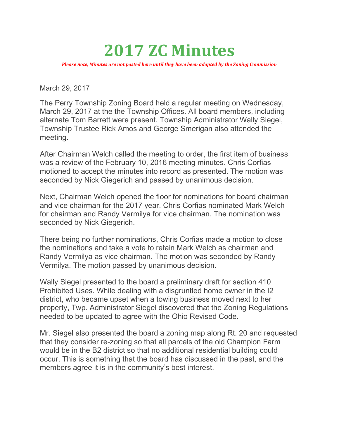## 2017 ZC Minutes

Please note, Minutes are not posted here until they have been adopted by the Zoning Commission

March 29, 2017

The Perry Township Zoning Board held a regular meeting on Wednesday, March 29, 2017 at the the Township Offices. All board members, including alternate Tom Barrett were present. Township Administrator Wally Siegel, Township Trustee Rick Amos and George Smerigan also attended the meeting.

After Chairman Welch called the meeting to order, the first item of business was a review of the February 10, 2016 meeting minutes. Chris Corfias motioned to accept the minutes into record as presented. The motion was seconded by Nick Giegerich and passed by unanimous decision.

Next, Chairman Welch opened the floor for nominations for board chairman and vice chairman for the 2017 year. Chris Corfias nominated Mark Welch for chairman and Randy Vermilya for vice chairman. The nomination was seconded by Nick Giegerich.

There being no further nominations, Chris Corfias made a motion to close the nominations and take a vote to retain Mark Welch as chairman and Randy Vermilya as vice chairman. The motion was seconded by Randy Vermilya. The motion passed by unanimous decision.

Wally Siegel presented to the board a preliminary draft for section 410 Prohibited Uses. While dealing with a disgruntled home owner in the I2 district, who became upset when a towing business moved next to her property, Twp. Administrator Siegel discovered that the Zoning Regulations needed to be updated to agree with the Ohio Revised Code.

Mr. Siegel also presented the board a zoning map along Rt. 20 and requested that they consider re-zoning so that all parcels of the old Champion Farm would be in the B2 district so that no additional residential building could occur. This is something that the board has discussed in the past, and the members agree it is in the community's best interest.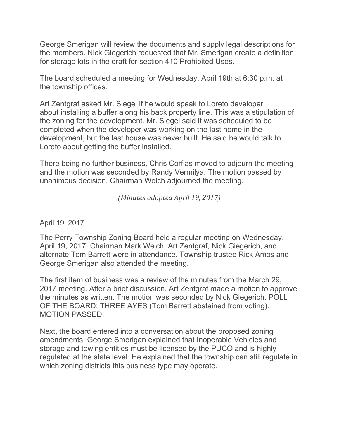George Smerigan will review the documents and supply legal descriptions for the members. Nick Giegerich requested that Mr. Smerigan create a definition for storage lots in the draft for section 410 Prohibited Uses.

The board scheduled a meeting for Wednesday, April 19th at 6:30 p.m. at the township offices.

Art Zentgraf asked Mr. Siegel if he would speak to Loreto developer about installing a buffer along his back property line. This was a stipulation of the zoning for the development. Mr. Siegel said it was scheduled to be completed when the developer was working on the last home in the development, but the last house was never built. He said he would talk to Loreto about getting the buffer installed.

There being no further business, Chris Corfias moved to adjourn the meeting and the motion was seconded by Randy Vermilya. The motion passed by unanimous decision. Chairman Welch adjourned the meeting.

(Minutes adopted April 19, 2017)

April 19, 2017

The Perry Township Zoning Board held a regular meeting on Wednesday, April 19, 2017. Chairman Mark Welch, Art Zentgraf, Nick Giegerich, and alternate Tom Barrett were in attendance. Township trustee Rick Amos and George Smerigan also attended the meeting.

The first item of business was a review of the minutes from the March 29, 2017 meeting. After a brief discussion, Art Zentgraf made a motion to approve the minutes as written. The motion was seconded by Nick Giegerich. POLL OF THE BOARD: THREE AYES (Tom Barrett abstained from voting). MOTION PASSED.

Next, the board entered into a conversation about the proposed zoning amendments. George Smerigan explained that Inoperable Vehicles and storage and towing entities must be licensed by the PUCO and is highly regulated at the state level. He explained that the township can still regulate in which zoning districts this business type may operate.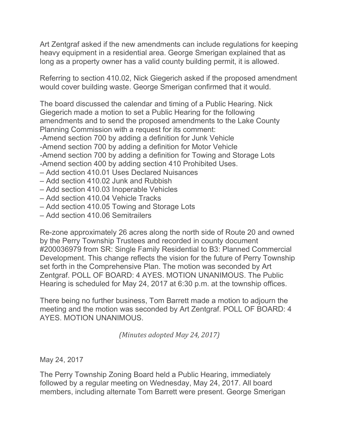Art Zentgraf asked if the new amendments can include regulations for keeping heavy equipment in a residential area. George Smerigan explained that as long as a property owner has a valid county building permit, it is allowed.

Referring to section 410.02, Nick Giegerich asked if the proposed amendment would cover building waste. George Smerigan confirmed that it would.

The board discussed the calendar and timing of a Public Hearing. Nick Giegerich made a motion to set a Public Hearing for the following amendments and to send the proposed amendments to the Lake County Planning Commission with a request for its comment:

-Amend section 700 by adding a definition for Junk Vehicle

-Amend section 700 by adding a definition for Motor Vehicle

-Amend section 700 by adding a definition for Towing and Storage Lots

-Amend section 400 by adding section 410 Prohibited Uses.

- Add section 410.01 Uses Declared Nuisances
- Add section 410.02 Junk and Rubbish
- Add section 410.03 Inoperable Vehicles
- Add section 410.04 Vehicle Tracks
- Add section 410.05 Towing and Storage Lots
- Add section 410.06 Semitrailers

Re-zone approximately 26 acres along the north side of Route 20 and owned by the Perry Township Trustees and recorded in county document #200036979 from SR: Single Family Residential to B3: Planned Commercial Development. This change reflects the vision for the future of Perry Township set forth in the Comprehensive Plan. The motion was seconded by Art Zentgraf. POLL OF BOARD: 4 AYES. MOTION UNANIMOUS. The Public Hearing is scheduled for May 24, 2017 at 6:30 p.m. at the township offices.

There being no further business, Tom Barrett made a motion to adjourn the meeting and the motion was seconded by Art Zentgraf. POLL OF BOARD: 4 AYES. MOTION UNANIMOUS.

(Minutes adopted May 24, 2017)

May 24, 2017

The Perry Township Zoning Board held a Public Hearing, immediately followed by a regular meeting on Wednesday, May 24, 2017. All board members, including alternate Tom Barrett were present. George Smerigan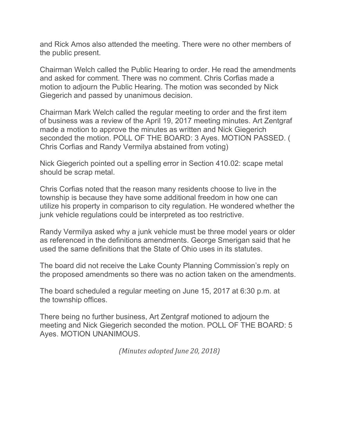and Rick Amos also attended the meeting. There were no other members of the public present.

Chairman Welch called the Public Hearing to order. He read the amendments and asked for comment. There was no comment. Chris Corfias made a motion to adjourn the Public Hearing. The motion was seconded by Nick Giegerich and passed by unanimous decision.

Chairman Mark Welch called the regular meeting to order and the first item of business was a review of the April 19, 2017 meeting minutes. Art Zentgraf made a motion to approve the minutes as written and Nick Giegerich seconded the motion. POLL OF THE BOARD: 3 Ayes. MOTION PASSED. ( Chris Corfias and Randy Vermilya abstained from voting)

Nick Giegerich pointed out a spelling error in Section 410.02: scape metal should be scrap metal.

Chris Corfias noted that the reason many residents choose to live in the township is because they have some additional freedom in how one can utilize his property in comparison to city regulation. He wondered whether the junk vehicle regulations could be interpreted as too restrictive.

Randy Vermilya asked why a junk vehicle must be three model years or older as referenced in the definitions amendments. George Smerigan said that he used the same definitions that the State of Ohio uses in its statutes.

The board did not receive the Lake County Planning Commission's reply on the proposed amendments so there was no action taken on the amendments.

The board scheduled a regular meeting on June 15, 2017 at 6:30 p.m. at the township offices.

There being no further business, Art Zentgraf motioned to adjourn the meeting and Nick Giegerich seconded the motion. POLL OF THE BOARD: 5 Ayes. MOTION UNANIMOUS.

(Minutes adopted June 20, 2018)